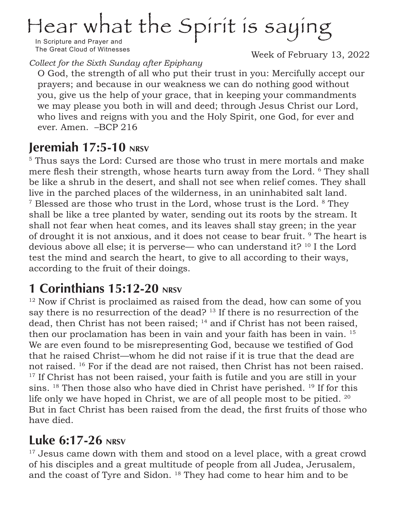# Hear what the Spirit is saying

In Scripture and Prayer and The Great Cloud of Witnesses

Week of February 13, 2022

*Collect for the Sixth Sunday after Epiphany*

O God, the strength of all who put their trust in you: Mercifully accept our prayers; and because in our weakness we can do nothing good without you, give us the help of your grace, that in keeping your commandments we may please you both in will and deed; through Jesus Christ our Lord, who lives and reigns with you and the Holy Spirit, one God, for ever and ever. Amen. –BCP 216

## **Jeremiah 17:5-10 NRSV**

<sup>5</sup> Thus says the Lord: Cursed are those who trust in mere mortals and make mere flesh their strength, whose hearts turn away from the Lord. <sup>6</sup> They shall be like a shrub in the desert, and shall not see when relief comes. They shall live in the parched places of the wilderness, in an uninhabited salt land.  $7$  Blessed are those who trust in the Lord, whose trust is the Lord.  $8$  They shall be like a tree planted by water, sending out its roots by the stream. It shall not fear when heat comes, and its leaves shall stay green; in the year of drought it is not anxious, and it does not cease to bear fruit. <sup>9</sup> The heart is devious above all else; it is perverse— who can understand it? 10 I the Lord test the mind and search the heart, to give to all according to their ways, according to the fruit of their doings.

## **1 Corinthians 15:12-20 NRSV**

<sup>12</sup> Now if Christ is proclaimed as raised from the dead, how can some of you say there is no resurrection of the dead?<sup>13</sup> If there is no resurrection of the dead, then Christ has not been raised; 14 and if Christ has not been raised, then our proclamation has been in vain and your faith has been in vain. 15 We are even found to be misrepresenting God, because we testified of God that he raised Christ—whom he did not raise if it is true that the dead are not raised. <sup>16</sup> For if the dead are not raised, then Christ has not been raised. <sup>17</sup> If Christ has not been raised, your faith is futile and you are still in your sins. 18 Then those also who have died in Christ have perished. 19 If for this life only we have hoped in Christ, we are of all people most to be pitied. 20 But in fact Christ has been raised from the dead, the first fruits of those who have died.

## **Luke 6:17-26 NRSV**

<sup>17</sup> Jesus came down with them and stood on a level place, with a great crowd of his disciples and a great multitude of people from all Judea, Jerusalem, and the coast of Tyre and Sidon. 18 They had come to hear him and to be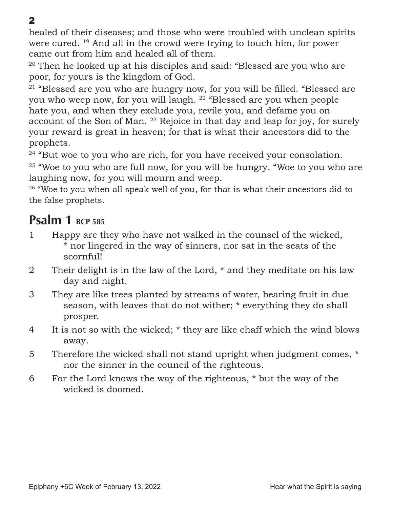healed of their diseases; and those who were troubled with unclean spirits were cured. 19 And all in the crowd were trying to touch him, for power came out from him and healed all of them.

20 Then he looked up at his disciples and said: "Blessed are you who are poor, for yours is the kingdom of God.

 $21$  "Blessed are you who are hungry now, for you will be filled. "Blessed are you who weep now, for you will laugh. 22 "Blessed are you when people hate you, and when they exclude you, revile you, and defame you on account of the Son of Man. 23 Rejoice in that day and leap for joy, for surely your reward is great in heaven; for that is what their ancestors did to the prophets.

 $24$  "But woe to you who are rich, for you have received your consolation.

<sup>25</sup> "Woe to you who are full now, for you will be hungry. "Woe to you who are laughing now, for you will mourn and weep.

<sup>26</sup> "Woe to you when all speak well of you, for that is what their ancestors did to the false prophets.

### **Psalm 1 BCP 585**

- 1 Happy are they who have not walked in the counsel of the wicked, \* nor lingered in the way of sinners, nor sat in the seats of the scornful!
- 2 Their delight is in the law of the Lord, \* and they meditate on his law day and night.
- 3 They are like trees planted by streams of water, bearing fruit in due season, with leaves that do not wither; \* everything they do shall prosper.
- 4 It is not so with the wicked; \* they are like chaff which the wind blows away.
- 5 Therefore the wicked shall not stand upright when judgment comes, \* nor the sinner in the council of the righteous.
- 6 For the Lord knows the way of the righteous, \* but the way of the wicked is doomed.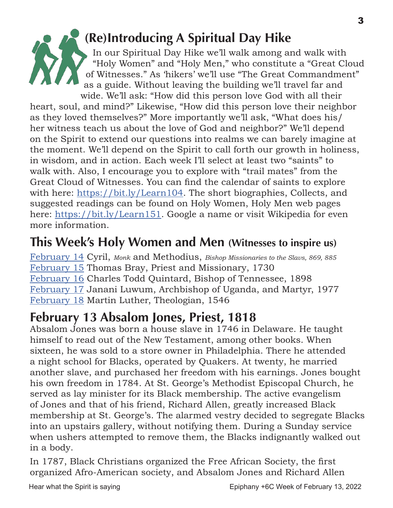In our Spiritual Day Hike we'll walk among and walk with "Holy Women" and "Holy Men," who constitute a "Great Cloud of Witnesses." As 'hikers' we'll use "The Great Commandment" as a guide. Without leaving the building we'll travel far and wide. We'll ask: "How did this person love God with all their

heart, soul, and mind?" Likewise, "How did this person love their neighbor as they loved themselves?" More importantly we'll ask, "What does his/ her witness teach us about the love of God and neighbor?" We'll depend on the Spirit to extend our questions into realms we can barely imagine at the moment. We'll depend on the Spirit to call forth our growth in holiness, in wisdom, and in action. Each week I'll select at least two "saints" to walk with. Also, I encourage you to explore with "trail mates" from the Great Cloud of Witnesses. You can find the calendar of saints to explore with here: [https://bit.ly/Learn104](http://bit.ly/Learn104). The short biographies, Collects, and suggested readings can be found on Holy Women, Holy Men web pages here: [https://bit.ly/Learn15](https://bit.ly/Learn151)1. Google a name or visit Wikipedia for even more information.

## **This Week's Holy Women and Men (Witnesses to inspire us)**

[February 14](https://holywomenholymen.wordpress.com/2016/02/14/feb-14-cyril-and-methodius/) Cyril, *Monk* and Methodius, *Bishop Missionaries to the Slavs, 869, 885* [February 15](https://holywomenholymen.wordpress.com/2016/02/15/feb-15-thomas-bray/) Thomas Bray, Priest and Missionary, 1730 [February 16](https://holywomenholymen.wordpress.com/2016/02/16/feb-16-charles-quintard/) Charles Todd Quintard, Bishop of Tennessee, 1898 [February 17](https://holywomenholymen.wordpress.com/2016/02/17/feb-17-janani-luwum/) Janani Luwum, Archbishop of Uganda, and Martyr, 1977 [February 18](https://holywomenholymen.wordpress.com/2016/02/18/feb-18-martin-luther/) Martin Luther, Theologian, 1546

## **February 13 Absalom Jones, Priest, 1818**

Absalom Jones was born a house slave in 1746 in Delaware. He taught himself to read out of the New Testament, among other books. When sixteen, he was sold to a store owner in Philadelphia. There he attended a night school for Blacks, operated by Quakers. At twenty, he married another slave, and purchased her freedom with his earnings. Jones bought his own freedom in 1784. At St. George's Methodist Episcopal Church, he served as lay minister for its Black membership. The active evangelism of Jones and that of his friend, Richard Allen, greatly increased Black membership at St. George's. The alarmed vestry decided to segregate Blacks into an upstairs gallery, without notifying them. During a Sunday service when ushers attempted to remove them, the Blacks indignantly walked out in a body.

In 1787, Black Christians organized the Free African Society, the first organized Afro-American society, and Absalom Jones and Richard Allen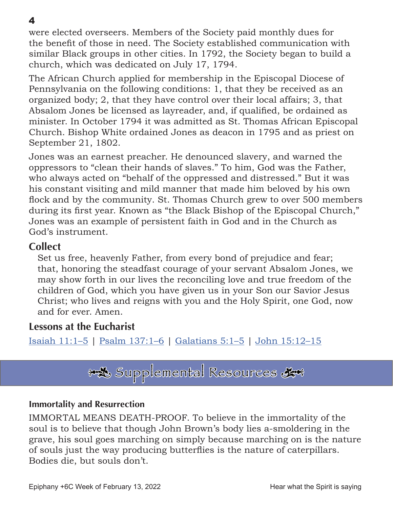were elected overseers. Members of the Society paid monthly dues for the benefit of those in need. The Society established communication with similar Black groups in other cities. In 1792, the Society began to build a church, which was dedicated on July 17, 1794.

The African Church applied for membership in the Episcopal Diocese of Pennsylvania on the following conditions: 1, that they be received as an organized body; 2, that they have control over their local affairs; 3, that Absalom Jones be licensed as layreader, and, if qualified, be ordained as minister. In October 1794 it was admitted as St. Thomas African Episcopal Church. Bishop White ordained Jones as deacon in 1795 and as priest on September 21, 1802.

Jones was an earnest preacher. He denounced slavery, and warned the oppressors to "clean their hands of slaves." To him, God was the Father, who always acted on "behalf of the oppressed and distressed." But it was his constant visiting and mild manner that made him beloved by his own flock and by the community. St. Thomas Church grew to over 500 members during its first year. Known as "the Black Bishop of the Episcopal Church," Jones was an example of persistent faith in God and in the Church as God's instrument.

#### **Collect**

Set us free, heavenly Father, from every bond of prejudice and fear; that, honoring the steadfast courage of your servant Absalom Jones, we may show forth in our lives the reconciling love and true freedom of the children of God, which you have given us in your Son our Savior Jesus Christ; who lives and reigns with you and the Holy Spirit, one God, now and for ever. Amen.

#### **Lessons at the Eucharist**

[Isaiah 11:1–5](https://www.biblegateway.com/passage/?search=Isaiah+11%3A1–5&version=NRSV) | [Psalm 137:1–6](https://www.biblegateway.com/passage/?search=Psalm+137%3A1–6&version=NRSV) | [Galatians 5:1–5](https://www.biblegateway.com/passage/?search=Galatians+5%3A1–5&version=NRSV) | [John 15:12–15](https://www.biblegateway.com/passage/?search=John+15%3A12–15&version=NRSV)

## † Supplemental Resources ¢

#### **Immortality and Resurrection**

IMMORTAL MEANS DEATH-PROOF. To believe in the immortality of the soul is to believe that though John Brown's body lies a-smoldering in the grave, his soul goes marching on simply because marching on is the nature of souls just the way producing butterflies is the nature of caterpillars. Bodies die, but souls don't.

#### 4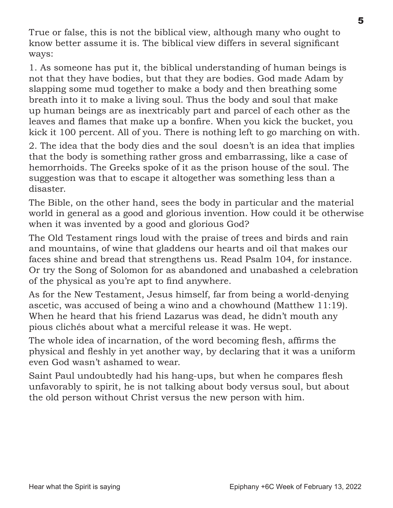True or false, this is not the biblical view, although many who ought to know better assume it is. The biblical view differs in several significant ways:

1. As someone has put it, the biblical understanding of human beings is not that they have bodies, but that they are bodies. God made Adam by slapping some mud together to make a body and then breathing some breath into it to make a living soul. Thus the body and soul that make up human beings are as inextricably part and parcel of each other as the leaves and flames that make up a bonfire. When you kick the bucket, you kick it 100 percent. All of you. There is nothing left to go marching on with.

2. The idea that the body dies and the soul doesn't is an idea that implies that the body is something rather gross and embarrassing, like a case of hemorrhoids. The Greeks spoke of it as the prison house of the soul. The suggestion was that to escape it altogether was something less than a disaster.

The Bible, on the other hand, sees the body in particular and the material world in general as a good and glorious invention. How could it be otherwise when it was invented by a good and glorious God?

The Old Testament rings loud with the praise of trees and birds and rain and mountains, of wine that gladdens our hearts and oil that makes our faces shine and bread that strengthens us. Read Psalm 104, for instance. Or try the Song of Solomon for as abandoned and unabashed a celebration of the physical as you're apt to find anywhere.

As for the New Testament, Jesus himself, far from being a world-denying ascetic, was accused of being a wino and a chowhound (Matthew 11:19). When he heard that his friend Lazarus was dead, he didn't mouth any pious clichés about what a merciful release it was. He wept.

The whole idea of incarnation, of the word becoming flesh, affirms the physical and fleshly in yet another way, by declaring that it was a uniform even God wasn't ashamed to wear.

Saint Paul undoubtedly had his hang-ups, but when he compares flesh unfavorably to spirit, he is not talking about body versus soul, but about the old person without Christ versus the new person with him.